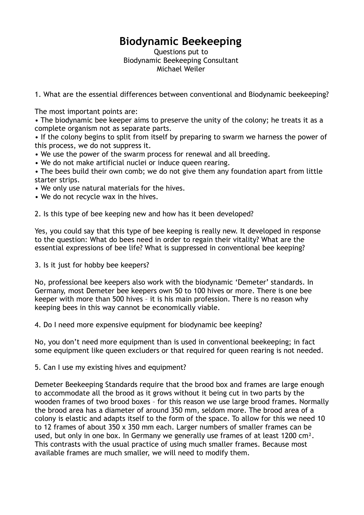## **Biodynamic Beekeeping**

Questions put to Biodynamic Beekeeping Consultant Michael Weiler

1. What are the essential differences between conventional and Biodynamic beekeeping?

The most important points are:

• The biodynamic bee keeper aims to preserve the unity of the colony; he treats it as a complete organism not as separate parts.

• If the colony begins to split from itself by preparing to swarm we harness the power of this process, we do not suppress it.

- We use the power of the swarm process for renewal and all breeding.
- We do not make artificial nuclei or induce queen rearing.
- The bees build their own comb; we do not give them any foundation apart from little starter strips.
- We only use natural materials for the hives.
- We do not recycle wax in the hives.

2. Is this type of bee keeping new and how has it been developed?

Yes, you could say that this type of bee keeping is really new. It developed in response to the question: What do bees need in order to regain their vitality? What are the essential expressions of bee life? What is suppressed in conventional bee keeping?

3. Is it just for hobby bee keepers?

No, professional bee keepers also work with the biodynamic 'Demeter' standards. In Germany, most Demeter bee keepers own 50 to 100 hives or more. There is one bee keeper with more than 500 hives – it is his main profession. There is no reason why keeping bees in this way cannot be economically viable.

4. Do I need more expensive equipment for biodynamic bee keeping?

No, you don't need more equipment than is used in conventional beekeeping; in fact some equipment like queen excluders or that required for queen rearing is not needed.

5. Can I use my existing hives and equipment?

Demeter Beekeeping Standards require that the brood box and frames are large enough to accommodate all the brood as it grows without it being cut in two parts by the wooden frames of two brood boxes – for this reason we use large brood frames. Normally the brood area has a diameter of around 350 mm, seldom more. The brood area of a colony is elastic and adapts itself to the form of the space. To allow for this we need 10 to 12 frames of about 350 x 350 mm each. Larger numbers of smaller frames can be used, but only in one box. In Germany we generally use frames of at least 1200 cm². This contrasts with the usual practice of using much smaller frames. Because most available frames are much smaller, we will need to modify them.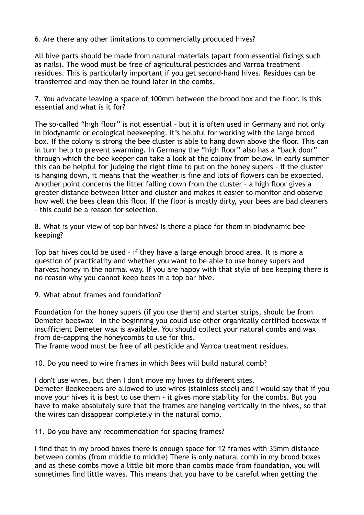6. Are there any other limitations to commercially produced hives?

All hive parts should be made from natural materials (apart from essential fixings such as nails). The wood must be free of agricultural pesticides and Varroa treatment residues. This is particularly important if you get second-hand hives. Residues can be transferred and may then be found later in the combs.

7. You advocate leaving a space of 100mm between the brood box and the floor. Is this essential and what is it for?

The so-called "high floor" is not essential – but it is often used in Germany and not only in biodynamic or ecological beekeeping. It's helpful for working with the large brood box. If the colony is strong the bee cluster is able to hang down above the floor. This can in turn help to prevent swarming. In Germany the "high floor" also has a "back door" through which the bee keeper can take a look at the colony from below. In early summer this can be helpful for judging the right time to put on the honey supers – if the cluster is hanging down, it means that the weather is fine and lots of flowers can be expected. Another point concerns the litter falling down from the cluster – a high floor gives a greater distance between litter and cluster and makes it easier to monitor and observe how well the bees clean this floor. If the floor is mostly dirty, your bees are bad cleaners – this could be a reason for selection.

8. What is your view of top bar hives? Is there a place for them in biodynamic bee keeping?

Top bar hives could be used – if they have a large enough brood area. It is more a question of practicality and whether you want to be able to use honey supers and harvest honey in the normal way. If you are happy with that style of bee keeping there is no reason why you cannot keep bees in a top bar hive.

9. What about frames and foundation?

Foundation for the honey supers (if you use them) and starter strips, should be from Demeter beeswax – in the beginning you could use other organically certified beeswax if insufficient Demeter wax is available. You should collect your natural combs and wax from de-capping the honeycombs to use for this.

The frame wood must be free of all pesticide and Varroa treatment residues.

10. Do you need to wire frames in which Bees will build natural comb?

I don't use wires, but then I don't move my hives to different sites. Demeter Beekeepers are allowed to use wires (stainless steel) and I would say that if you move your hives it is best to use them - it gives more stability for the combs. But you have to make absolutely sure that the frames are hanging vertically in the hives, so that the wires can disappear completely in the natural comb.

11. Do you have any recommendation for spacing frames?

I find that in my brood boxes there is enough space for 12 frames with 35mm distance between combs (from middle to middle) There is only natural comb in my brood boxes and as these combs move a little bit more than combs made from foundation, you will sometimes find little waves. This means that you have to be careful when getting the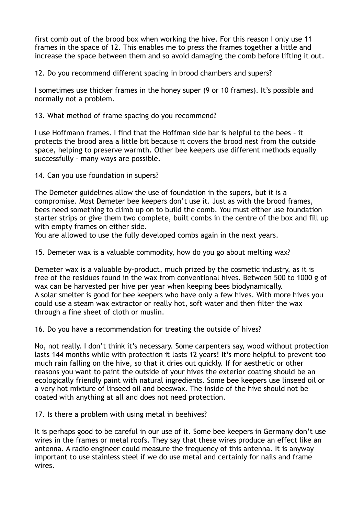first comb out of the brood box when working the hive. For this reason I only use 11 frames in the space of 12. This enables me to press the frames together a little and increase the space between them and so avoid damaging the comb before lifting it out.

12. Do you recommend different spacing in brood chambers and supers?

I sometimes use thicker frames in the honey super (9 or 10 frames). It's possible and normally not a problem.

13. What method of frame spacing do you recommend?

I use Hoffmann frames. I find that the Hoffman side bar is helpful to the bees – it protects the brood area a little bit because it covers the brood nest from the outside space, helping to preserve warmth. Other bee keepers use different methods equally successfully - many ways are possible.

14. Can you use foundation in supers?

The Demeter guidelines allow the use of foundation in the supers, but it is a compromise. Most Demeter bee keepers don't use it. Just as with the brood frames, bees need something to climb up on to build the comb. You must either use foundation starter strips or give them two complete, built combs in the centre of the box and fill up with empty frames on either side.

You are allowed to use the fully developed combs again in the next years.

15. Demeter wax is a valuable commodity, how do you go about melting wax?

Demeter wax is a valuable by-product, much prized by the cosmetic industry, as it is free of the residues found in the wax from conventional hives. Between 500 to 1000 g of wax can be harvested per hive per year when keeping bees biodynamically. A solar smelter is good for bee keepers who have only a few hives. With more hives you could use a steam wax extractor or really hot, soft water and then filter the wax through a fine sheet of cloth or muslin.

16. Do you have a recommendation for treating the outside of hives?

No, not really. I don't think it's necessary. Some carpenters say, wood without protection lasts 144 months while with protection it lasts 12 years! It's more helpful to prevent too much rain falling on the hive, so that it dries out quickly. If for aesthetic or other reasons you want to paint the outside of your hives the exterior coating should be an ecologically friendly paint with natural ingredients. Some bee keepers use linseed oil or a very hot mixture of linseed oil and beeswax. The inside of the hive should not be coated with anything at all and does not need protection.

17. Is there a problem with using metal in beehives?

It is perhaps good to be careful in our use of it. Some bee keepers in Germany don't use wires in the frames or metal roofs. They say that these wires produce an effect like an antenna. A radio engineer could measure the frequency of this antenna. It is anyway important to use stainless steel if we do use metal and certainly for nails and frame wires.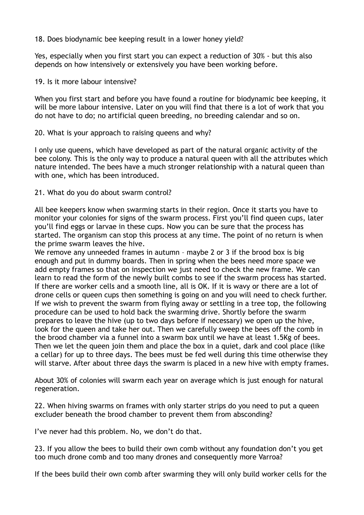18. Does biodynamic bee keeping result in a lower honey yield?

Yes, especially when you first start you can expect a reduction of 30% - but this also depends on how intensively or extensively you have been working before.

19. Is it more labour intensive?

When you first start and before you have found a routine for biodynamic bee keeping, it will be more labour intensive. Later on you will find that there is a lot of work that you do not have to do; no artificial queen breeding, no breeding calendar and so on.

## 20. What is your approach to raising queens and why?

I only use queens, which have developed as part of the natural organic activity of the bee colony. This is the only way to produce a natural queen with all the attributes which nature intended. The bees have a much stronger relationship with a natural queen than with one, which has been introduced.

21. What do you do about swarm control?

All bee keepers know when swarming starts in their region. Once it starts you have to monitor your colonies for signs of the swarm process. First you'll find queen cups, later you'll find eggs or larvae in these cups. Now you can be sure that the process has started. The organism can stop this process at any time. The point of no return is when the prime swarm leaves the hive.

We remove any unneeded frames in autumn - maybe 2 or 3 if the brood box is big enough and put in dummy boards. Then in spring when the bees need more space we add empty frames so that on inspection we just need to check the new frame. We can learn to read the form of the newly built combs to see if the swarm process has started. If there are worker cells and a smooth line, all is OK. If it is wavy or there are a lot of drone cells or queen cups then something is going on and you will need to check further. If we wish to prevent the swarm from flying away or settling in a tree top, the following procedure can be used to hold back the swarming drive. Shortly before the swarm prepares to leave the hive (up to two days before if necessary) we open up the hive, look for the queen and take her out. Then we carefully sweep the bees off the comb in the brood chamber via a funnel into a swarm box until we have at least 1.5Kg of bees. Then we let the queen join them and place the box in a quiet, dark and cool place (like a cellar) for up to three days. The bees must be fed well during this time otherwise they will starve. After about three days the swarm is placed in a new hive with empty frames.

About 30% of colonies will swarm each year on average which is just enough for natural regeneration.

22. When hiving swarms on frames with only starter strips do you need to put a queen excluder beneath the brood chamber to prevent them from absconding?

I've never had this problem. No, we don't do that.

23. If you allow the bees to build their own comb without any foundation don't you get too much drone comb and too many drones and consequently more Varroa?

If the bees build their own comb after swarming they will only build worker cells for the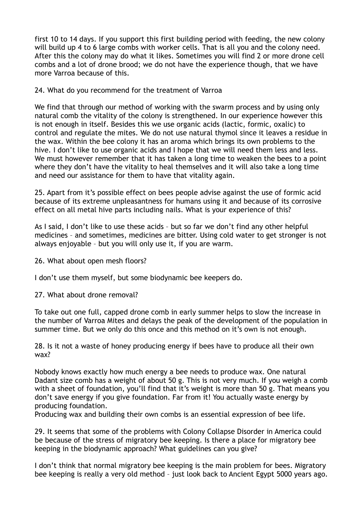first 10 to 14 days. If you support this first building period with feeding, the new colony will build up 4 to 6 large combs with worker cells. That is all you and the colony need. After this the colony may do what it likes. Sometimes you will find 2 or more drone cell combs and a lot of drone brood; we do not have the experience though, that we have more Varroa because of this.

24. What do you recommend for the treatment of Varroa

We find that through our method of working with the swarm process and by using only natural comb the vitality of the colony is strengthened. In our experience however this is not enough in itself. Besides this we use organic acids (lactic, formic, oxalic) to control and regulate the mites. We do not use natural thymol since it leaves a residue in the wax. Within the bee colony it has an aroma which brings its own problems to the hive. I don't like to use organic acids and I hope that we will need them less and less. We must however remember that it has taken a long time to weaken the bees to a point where they don't have the vitality to heal themselves and it will also take a long time and need our assistance for them to have that vitality again.

25. Apart from it's possible effect on bees people advise against the use of formic acid because of its extreme unpleasantness for humans using it and because of its corrosive effect on all metal hive parts including nails. What is your experience of this?

As I said, I don't like to use these acids – but so far we don't find any other helpful medicines – and sometimes, medicines are bitter. Using cold water to get stronger is not always enjoyable – but you will only use it, if you are warm.

26. What about open mesh floors?

I don't use them myself, but some biodynamic bee keepers do.

27. What about drone removal?

To take out one full, capped drone comb in early summer helps to slow the increase in the number of Varroa Mites and delays the peak of the development of the population in summer time. But we only do this once and this method on it's own is not enough.

28. Is it not a waste of honey producing energy if bees have to produce all their own wax?

Nobody knows exactly how much energy a bee needs to produce wax. One natural Dadant size comb has a weight of about 50 g. This is not very much. If you weigh a comb with a sheet of foundation, you'll find that it's weight is more than 50 g. That means you don't save energy if you give foundation. Far from it! You actually waste energy by producing foundation.

Producing wax and building their own combs is an essential expression of bee life.

29. It seems that some of the problems with Colony Collapse Disorder in America could be because of the stress of migratory bee keeping. Is there a place for migratory bee keeping in the biodynamic approach? What guidelines can you give?

I don't think that normal migratory bee keeping is the main problem for bees. Migratory bee keeping is really a very old method – just look back to Ancient Egypt 5000 years ago.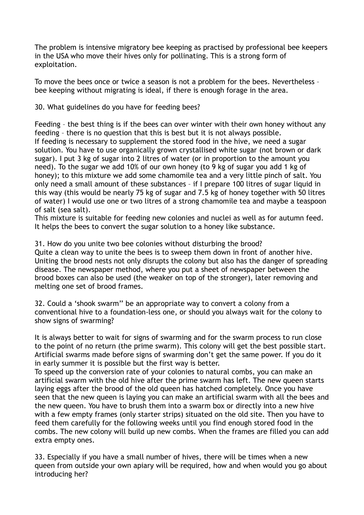The problem is intensive migratory bee keeping as practised by professional bee keepers in the USA who move their hives only for pollinating. This is a strong form of exploitation.

To move the bees once or twice a season is not a problem for the bees. Nevertheless – bee keeping without migrating is ideal, if there is enough forage in the area.

30. What guidelines do you have for feeding bees?

Feeding – the best thing is if the bees can over winter with their own honey without any feeding – there is no question that this is best but it is not always possible. If feeding is necessary to supplement the stored food in the hive, we need a sugar solution. You have to use organically grown crystallised white sugar (not brown or dark sugar). I put 3 kg of sugar into 2 litres of water (or in proportion to the amount you need). To the sugar we add 10% of our own honey (to 9 kg of sugar you add 1 kg of honey); to this mixture we add some chamomile tea and a very little pinch of salt. You only need a small amount of these substances – if I prepare 100 litres of sugar liquid in this way (this would be nearly 75 kg of sugar and 7.5 kg of honey together with 50 litres of water) I would use one or two litres of a strong chamomile tea and maybe a teaspoon of salt (sea salt).

This mixture is suitable for feeding new colonies and nuclei as well as for autumn feed. It helps the bees to convert the sugar solution to a honey like substance.

31. How do you unite two bee colonies without disturbing the brood? Quite a clean way to unite the bees is to sweep them down in front of another hive. Uniting the brood nests not only disrupts the colony but also has the danger of spreading disease. The newspaper method, where you put a sheet of newspaper between the brood boxes can also be used (the weaker on top of the stronger), later removing and melting one set of brood frames.

32. Could a 'shook swarm'' be an appropriate way to convert a colony from a conventional hive to a foundation-less one, or should you always wait for the colony to show signs of swarming?

It is always better to wait for signs of swarming and for the swarm process to run close to the point of no return (the prime swarm). This colony will get the best possible start. Artificial swarms made before signs of swarming don't get the same power. If you do it in early summer it is possible but the first way is better.

To speed up the conversion rate of your colonies to natural combs, you can make an artificial swarm with the old hive after the prime swarm has left. The new queen starts laying eggs after the brood of the old queen has hatched completely. Once you have seen that the new queen is laying you can make an artificial swarm with all the bees and the new queen. You have to brush them into a swarm box or directly into a new hive with a few empty frames (only starter strips) situated on the old site. Then you have to feed them carefully for the following weeks until you find enough stored food in the combs. The new colony will build up new combs. When the frames are filled you can add extra empty ones.

33. Especially if you have a small number of hives, there will be times when a new queen from outside your own apiary will be required, how and when would you go about introducing her?